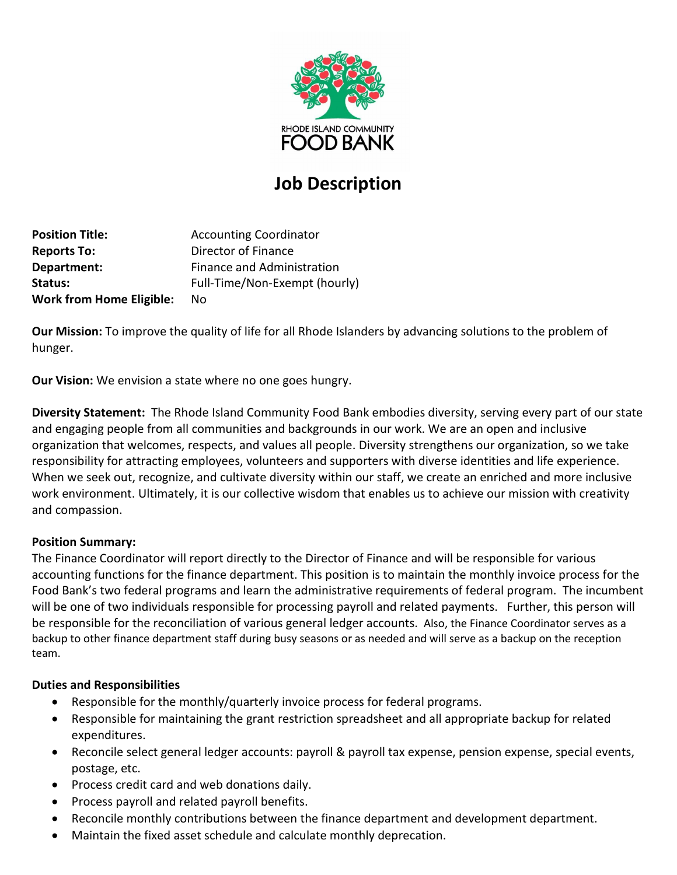

# **Job Description**

**Position Title:** Accounting Coordinator **Reports To:** Director of Finance **Department:** Finance and Administration Status: Full-Time/Non-Exempt (hourly) **Work from Home Eligible:** No

**Our Mission:** To improve the quality of life for all Rhode Islanders by advancing solutions to the problem of hunger.

**Our Vision:** We envision a state where no one goes hungry.

**Diversity Statement:** The Rhode Island Community Food Bank embodies diversity, serving every part of our state and engaging people from all communities and backgrounds in our work. We are an open and inclusive organization that welcomes, respects, and values all people. Diversity strengthens our organization, so we take responsibility for attracting employees, volunteers and supporters with diverse identities and life experience. When we seek out, recognize, and cultivate diversity within our staff, we create an enriched and more inclusive work environment. Ultimately, it is our collective wisdom that enables us to achieve our mission with creativity and compassion.

## **Position Summary:**

The Finance Coordinator will report directly to the Director of Finance and will be responsible for various accounting functions for the finance department. This position is to maintain the monthly invoice process for the Food Bank's two federal programs and learn the administrative requirements of federal program. The incumbent will be one of two individuals responsible for processing payroll and related payments. Further, this person will be responsible for the reconciliation of various general ledger accounts. Also, the Finance Coordinator serves as a backup to other finance department staff during busy seasons or as needed and will serve as a backup on the reception team.

#### **Duties and Responsibilities**

- Responsible for the monthly/quarterly invoice process for federal programs.
- Responsible for maintaining the grant restriction spreadsheet and all appropriate backup for related expenditures.
- Reconcile select general ledger accounts: payroll & payroll tax expense, pension expense, special events, postage, etc.
- Process credit card and web donations daily.
- Process payroll and related payroll benefits.
- Reconcile monthly contributions between the finance department and development department.
- Maintain the fixed asset schedule and calculate monthly deprecation.